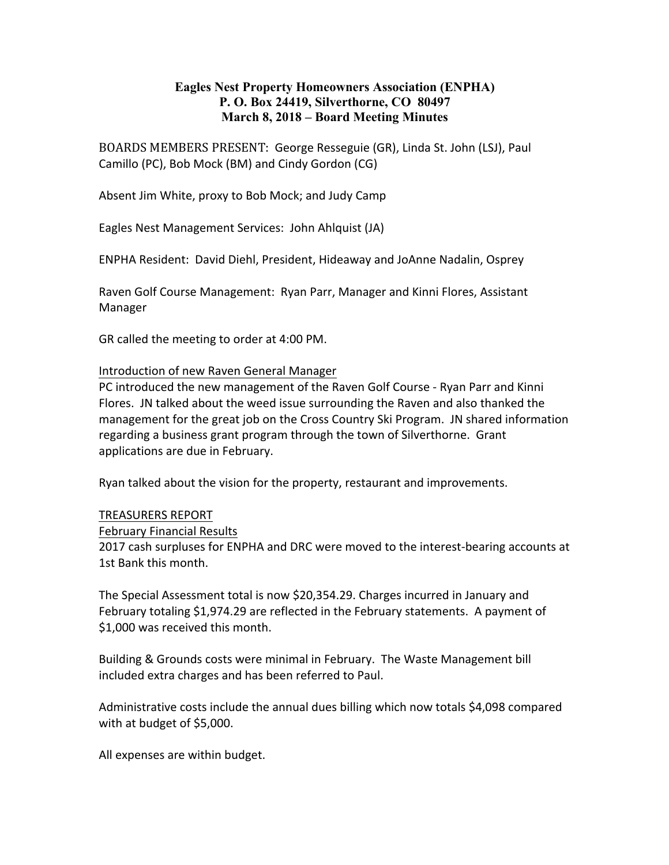# **Eagles Nest Property Homeowners Association (ENPHA) P. O. Box 24419, Silverthorne, CO 80497 March 8, 2018 – Board Meeting Minutes**

BOARDS MEMBERS PRESENT: George Resseguie (GR), Linda St. John (LSJ), Paul Camillo (PC), Bob Mock (BM) and Cindy Gordon (CG)

Absent Jim White, proxy to Bob Mock; and Judy Camp

Eagles Nest Management Services: John Ahlquist (JA)

ENPHA Resident: David Diehl, President, Hideaway and JoAnne Nadalin, Osprey

Raven Golf Course Management: Ryan Parr, Manager and Kinni Flores, Assistant Manager

GR called the meeting to order at 4:00 PM.

### Introduction of new Raven General Manager

PC introduced the new management of the Raven Golf Course - Ryan Parr and Kinni Flores. JN talked about the weed issue surrounding the Raven and also thanked the management for the great job on the Cross Country Ski Program. JN shared information regarding a business grant program through the town of Silverthorne. Grant applications are due in February.

Ryan talked about the vision for the property, restaurant and improvements.

### **TREASURERS REPORT**

February Financial Results

2017 cash surpluses for ENPHA and DRC were moved to the interest-bearing accounts at 1st Bank this month.

The Special Assessment total is now \$20,354.29. Charges incurred in January and February totaling \$1,974.29 are reflected in the February statements. A payment of \$1,000 was received this month.

Building & Grounds costs were minimal in February. The Waste Management bill included extra charges and has been referred to Paul.

Administrative costs include the annual dues billing which now totals \$4,098 compared with at budget of \$5,000.

All expenses are within budget.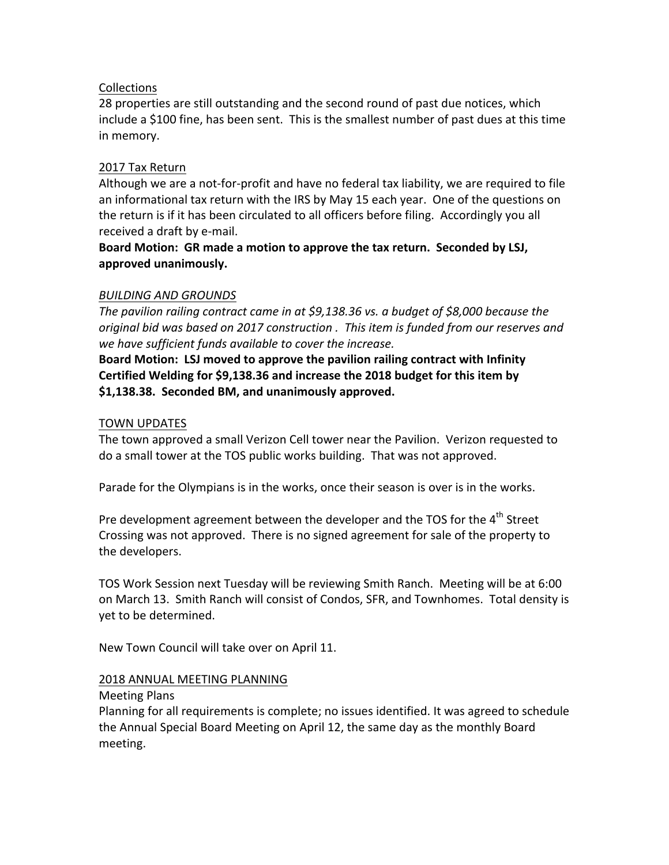# Collections

28 properties are still outstanding and the second round of past due notices, which include a \$100 fine, has been sent. This is the smallest number of past dues at this time in memory.

### 2017 Tax Return

Although we are a not-for-profit and have no federal tax liability, we are required to file an informational tax return with the IRS by May 15 each year. One of the questions on the return is if it has been circulated to all officers before filing. Accordingly you all received a draft by e-mail.

# Board Motion: GR made a motion to approve the tax return. Seconded by LSJ, **approved unanimously.**

# *BUILDING AND GROUNDS*

The pavilion railing contract came in at \$9,138.36 vs. a budget of \$8,000 because the *original bid was based on 2017 construction . This item is funded from our reserves and* we have sufficient funds available to cover the increase.

Board Motion: LSJ moved to approve the pavilion railing contract with Infinity **Certified Welding for \$9,138.36 and increase the 2018 budget for this item by** \$1,138.38. Seconded BM, and unanimously approved.

# TOWN UPDATES

The town approved a small Verizon Cell tower near the Pavilion. Verizon requested to do a small tower at the TOS public works building. That was not approved.

Parade for the Olympians is in the works, once their season is over is in the works.

Pre development agreement between the developer and the TOS for the 4<sup>th</sup> Street Crossing was not approved. There is no signed agreement for sale of the property to the developers.

TOS Work Session next Tuesday will be reviewing Smith Ranch. Meeting will be at 6:00 on March 13. Smith Ranch will consist of Condos, SFR, and Townhomes. Total density is yet to be determined.

New Town Council will take over on April 11.

### 2018 ANNUAL MEETING PLANNING

Meeting Plans

Planning for all requirements is complete; no issues identified. It was agreed to schedule the Annual Special Board Meeting on April 12, the same day as the monthly Board meeting.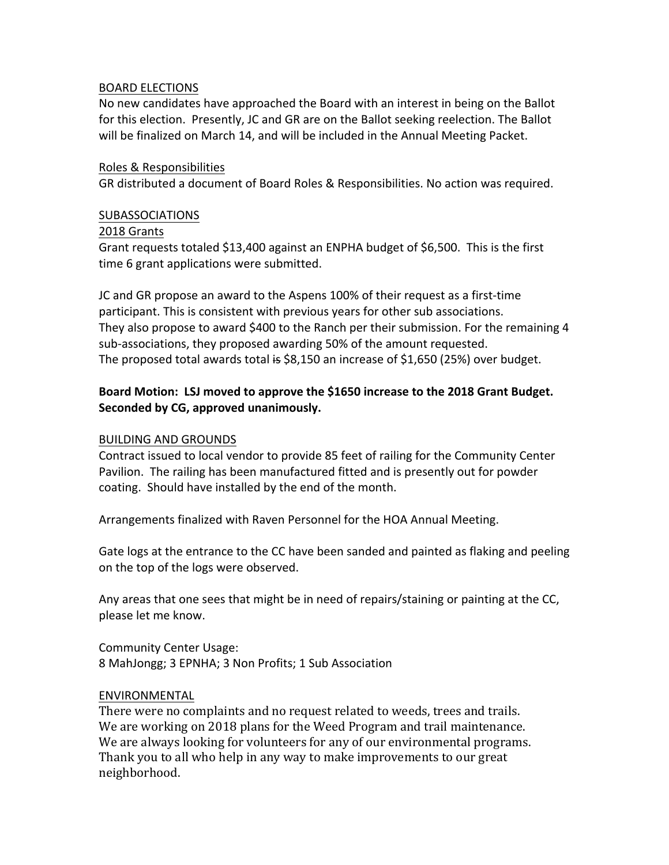#### BOARD ELECTIONS

No new candidates have approached the Board with an interest in being on the Ballot for this election. Presently, JC and GR are on the Ballot seeking reelection. The Ballot will be finalized on March 14, and will be included in the Annual Meeting Packet.

#### Roles & Responsibilities

GR distributed a document of Board Roles & Responsibilities. No action was required.

#### SUBASSOCIATIONS

#### 2018 Grants

Grant requests totaled \$13,400 against an ENPHA budget of \$6,500. This is the first time 6 grant applications were submitted.

JC and GR propose an award to the Aspens 100% of their request as a first-time participant. This is consistent with previous years for other sub associations. They also propose to award \$400 to the Ranch per their submission. For the remaining 4 sub-associations, they proposed awarding 50% of the amount requested. The proposed total awards total is  $$8,150$  an increase of  $$1,650$  (25%) over budget.

# Board Motion: LSJ moved to approve the \$1650 increase to the 2018 Grant Budget. Seconded by CG, approved unanimously.

#### **BUILDING AND GROUNDS**

Contract issued to local vendor to provide 85 feet of railing for the Community Center Pavilion. The railing has been manufactured fitted and is presently out for powder coating. Should have installed by the end of the month.

Arrangements finalized with Raven Personnel for the HOA Annual Meeting.

Gate logs at the entrance to the CC have been sanded and painted as flaking and peeling on the top of the logs were observed.

Any areas that one sees that might be in need of repairs/staining or painting at the CC, please let me know.

Community Center Usage: 8 MahJongg; 3 EPNHA; 3 Non Profits; 1 Sub Association

### ENVIRONMENTAL

There were no complaints and no request related to weeds, trees and trails. We are working on 2018 plans for the Weed Program and trail maintenance. We are always looking for volunteers for any of our environmental programs. Thank you to all who help in any way to make improvements to our great neighborhood.